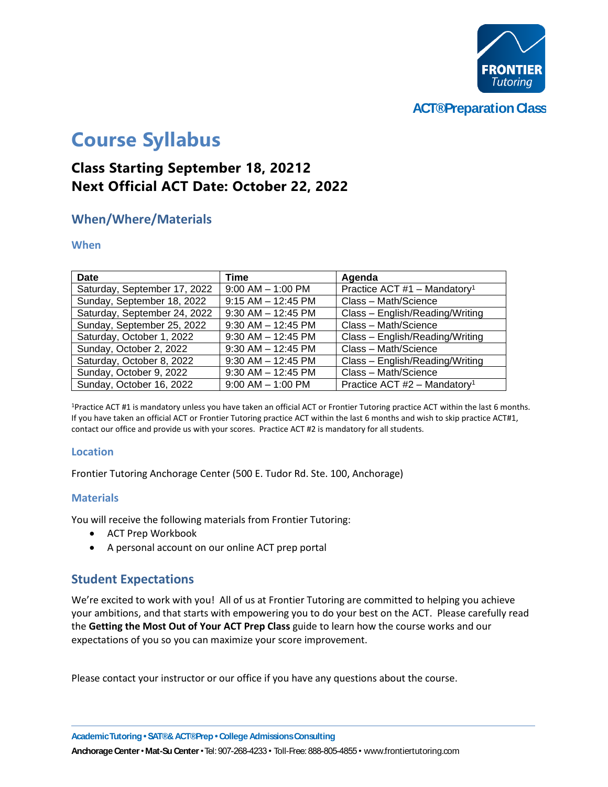

**ACT®Preparation Class** 

# **Course Syllabus**

# **Class Starting September 18, 20212 Next Official ACT Date: October 22, 2022**

## **When/Where/Materials**

#### **When**

| <b>Date</b>                  | Time                   | Agenda                                     |
|------------------------------|------------------------|--------------------------------------------|
| Saturday, September 17, 2022 | $9:00$ AM $-$ 1:00 PM  | Practice ACT #1 - Mandatory <sup>1</sup>   |
| Sunday, September 18, 2022   | $9:15$ AM $-12:45$ PM  | Class - Math/Science                       |
| Saturday, September 24, 2022 | $9:30$ AM $-12:45$ PM  | Class - English/Reading/Writing            |
| Sunday, September 25, 2022   | $9:30$ AM $-$ 12:45 PM | Class - Math/Science                       |
| Saturday, October 1, 2022    | $9:30$ AM $-12:45$ PM  | Class - English/Reading/Writing            |
| Sunday, October 2, 2022      | $9:30$ AM $-12:45$ PM  | Class - Math/Science                       |
| Saturday, October 8, 2022    | $9:30$ AM $-$ 12:45 PM | Class - English/Reading/Writing            |
| Sunday, October 9, 2022      | $9:30$ AM $-$ 12:45 PM | Class - Math/Science                       |
| Sunday, October 16, 2022     | $9:00$ AM $-$ 1:00 PM  | Practice ACT $#2$ – Mandatory <sup>1</sup> |

<sup>1</sup>Practice ACT #1 is mandatory unless you have taken an official ACT or Frontier Tutoring practice ACT within the last 6 months. If you have taken an official ACT or Frontier Tutoring practice ACT within the last 6 months and wish to skip practice ACT#1, contact our office and provide us with your scores. Practice ACT #2 is mandatory for all students.

#### **Location**

Frontier Tutoring Anchorage Center (500 E. Tudor Rd. Ste. 100, Anchorage)

#### **Materials**

You will receive the following materials from Frontier Tutoring:

- ACT Prep Workbook
- A personal account on our online ACT prep portal

### **Student Expectations**

We're excited to work with you! All of us at Frontier Tutoring are committed to helping you achieve your ambitions, and that starts with empowering you to do your best on the ACT. Please carefully read the **Getting the Most Out of Your ACT Prep Class** guide to learn how the course works and our expectations of you so you can maximize your score improvement.

Please contact your instructor or our office if you have any questions about the course.